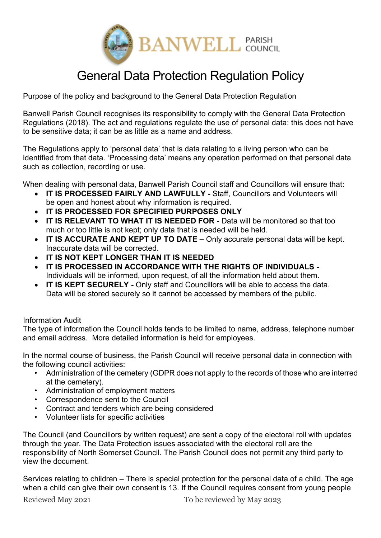

# General Data Protection Regulation Policy

# Purpose of the policy and background to the General Data Protection Regulation

Banwell Parish Council recognises its responsibility to comply with the General Data Protection Regulations (2018). The act and regulations regulate the use of personal data: this does not have to be sensitive data; it can be as little as a name and address.

The Regulations apply to 'personal data' that is data relating to a living person who can be identified from that data. 'Processing data' means any operation performed on that personal data such as collection, recording or use.

When dealing with personal data, Banwell Parish Council staff and Councillors will ensure that:

- **IT IS PROCESSED FAIRLY AND LAWFULLY -** Staff, Councillors and Volunteers will be open and honest about why information is required.
- **IT IS PROCESSED FOR SPECIFIED PURPOSES ONLY**
- **IT IS RELEVANT TO WHAT IT IS NEEDED FOR -** Data will be monitored so that too much or too little is not kept; only data that is needed will be held.
- **IT IS ACCURATE AND KEPT UP TO DATE –** Only accurate personal data will be kept. Inaccurate data will be corrected.
- **IT IS NOT KEPT LONGER THAN IT IS NEEDED**
- **IT IS PROCESSED IN ACCORDANCE WITH THE RIGHTS OF INDIVIDUALS -** Individuals will be informed, upon request, of all the information held about them.
- **IT IS KEPT SECURELY -** Only staff and Councillors will be able to access the data. Data will be stored securely so it cannot be accessed by members of the public.

## Information Audit

The type of information the Council holds tends to be limited to name, address, telephone number and email address. More detailed information is held for employees.

In the normal course of business, the Parish Council will receive personal data in connection with the following council activities:

- Administration of the cemetery (GDPR does not apply to the records of those who are interred at the cemetery).
- Administration of employment matters
- Correspondence sent to the Council
- Contract and tenders which are being considered
- Volunteer lists for specific activities

The Council (and Councillors by written request) are sent a copy of the electoral roll with updates through the year. The Data Protection issues associated with the electoral roll are the responsibility of North Somerset Council. The Parish Council does not permit any third party to view the document.

Services relating to children – There is special protection for the personal data of a child. The age when a child can give their own consent is 13. If the Council requires consent from young people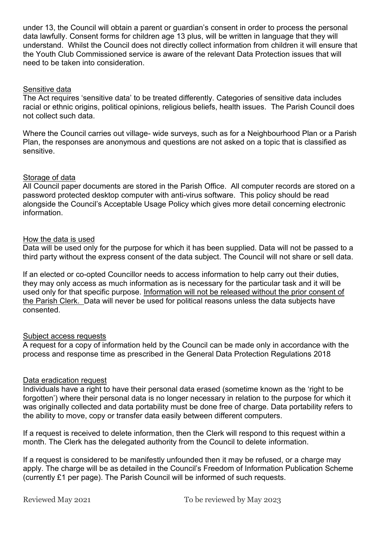under 13, the Council will obtain a parent or guardian's consent in order to process the personal data lawfully. Consent forms for children age 13 plus, will be written in language that they will understand. Whilst the Council does not directly collect information from children it will ensure that the Youth Club Commissioned service is aware of the relevant Data Protection issues that will need to be taken into consideration.

# Sensitive data

The Act requires 'sensitive data' to be treated differently. Categories of sensitive data includes racial or ethnic origins, political opinions, religious beliefs, health issues. The Parish Council does not collect such data.

Where the Council carries out village- wide surveys, such as for a Neighbourhood Plan or a Parish Plan, the responses are anonymous and questions are not asked on a topic that is classified as sensitive.

#### Storage of data

All Council paper documents are stored in the Parish Office. All computer records are stored on a password protected desktop computer with anti-virus software. This policy should be read alongside the Council's Acceptable Usage Policy which gives more detail concerning electronic information.

#### How the data is used

Data will be used only for the purpose for which it has been supplied. Data will not be passed to a third party without the express consent of the data subject. The Council will not share or sell data.

If an elected or co-opted Councillor needs to access information to help carry out their duties, they may only access as much information as is necessary for the particular task and it will be used only for that specific purpose. Information will not be released without the prior consent of the Parish Clerk. Data will never be used for political reasons unless the data subjects have consented.

#### Subject access requests

A request for a copy of information held by the Council can be made only in accordance with the process and response time as prescribed in the General Data Protection Regulations 2018

#### Data eradication request

Individuals have a right to have their personal data erased (sometime known as the 'right to be forgotten') where their personal data is no longer necessary in relation to the purpose for which it was originally collected and data portability must be done free of charge. Data portability refers to the ability to move, copy or transfer data easily between different computers.

If a request is received to delete information, then the Clerk will respond to this request within a month. The Clerk has the delegated authority from the Council to delete information.

If a request is considered to be manifestly unfounded then it may be refused, or a charge may apply. The charge will be as detailed in the Council's Freedom of Information Publication Scheme (currently £1 per page). The Parish Council will be informed of such requests.